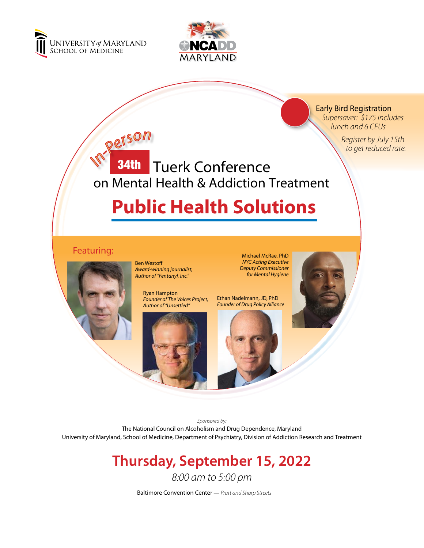

*In-Perso<sup>n</sup>*



Early Bird Registration  *Supersaver: \$175 includes lunch and 6 CEUs*

> *Register by July 15th to get reduced rate.*

# on Mental Health & Addiction Treatment **34th** Tuerk Conference

# **Public Health Solutions**

# **Featuring:** Michael McRae, PhD

Ben Westoff *Award-winning journalist, Author of "Fentanyl, Inc."*

> Ryan Hampton *Founder of The Voices Project, Author of "Unsettled"*



*NYC Acting Executive Deputy Commissioner for Mental Hygiene*

Ethan Nadelmann, JD, PhD *Founder of Drug Policy Alliance*





*Sponsored by:* The National Council on Alcoholism and Drug Dependence, Maryland University of Maryland, School of Medicine, Department of Psychiatry, Division of Addiction Research and Treatment

# **Thursday, September 15, 2022**

*8:00 am to 5:00 pm*

Baltimore Convention Center — *Pratt and Sharp Streets*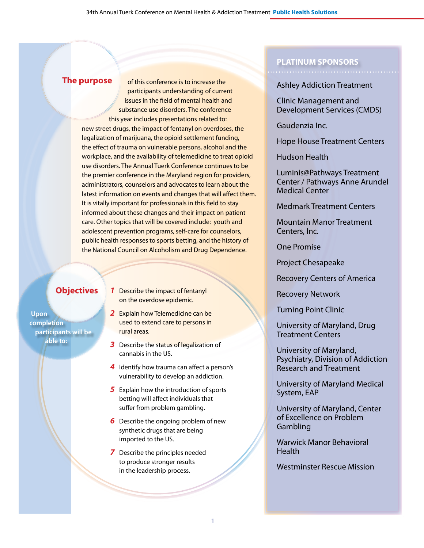# **The purpose**

 participants understanding of current issues in the field of mental health and substance use disorders. The conference this year includes presentations related to: new street drugs, the impact of fentanyl on overdoses, the legalization of marijuana, the opioid settlement funding, the effect of trauma on vulnerable persons, alcohol and the workplace, and the availability of telemedicine to treat opioid use disorders. The Annual Tuerk Conference continues to be the premier conference in the Maryland region for providers, administrators, counselors and advocates to learn about the latest information on events and changes that will affect them. It is vitally important for professionals in this field to stay informed about these changes and their impact on patient care. Other topics that will be covered include: youth and adolescent prevention programs, self-care for counselors, public health responses to sports betting, and the history of the National Council on Alcoholism and Drug Dependence.

of this conference is to increase the

# **Objectives**

**Upon completion participants will be able to:**

- *1* Describe the impact of fentanyl on the overdose epidemic.
- *2* Explain how Telemedicine can be used to extend care to persons in rural areas.
- **3** Describe the status of legalization of cannabis in the US.
- *4* Identify how trauma can affect a person's vulnerability to develop an addiction.
- **5** Explain how the introduction of sports betting will affect individuals that suffer from problem gambling.
- *6* Describe the ongoing problem of new synthetic drugs that are being imported to the US.
- *7* Describe the principles needed to produce stronger results in the leadership process.

# **PLATINUM SPONSORS**

# Ashley Addiction Treatment

Clinic Management and Development Services (CMDS)

Gaudenzia Inc.

Hope House Treatment Centers

Hudson Health

Luminis@Pathways Treatment Center / Pathways Anne Arundel Medical Center

Medmark Treatment Centers

Mountain Manor Treatment Centers, Inc.

One Promise

Project Chesapeake

Recovery Centers of America

Recovery Network

Turning Point Clinic

University of Maryland, Drug Treatment Centers

University of Maryland, Psychiatry, Division of Addiction Research and Treatment

University of Maryland Medical System, EAP

University of Maryland, Center of Excellence on Problem **Gambling** 

Warwick Manor Behavioral **Health** 

Westminster Rescue Mission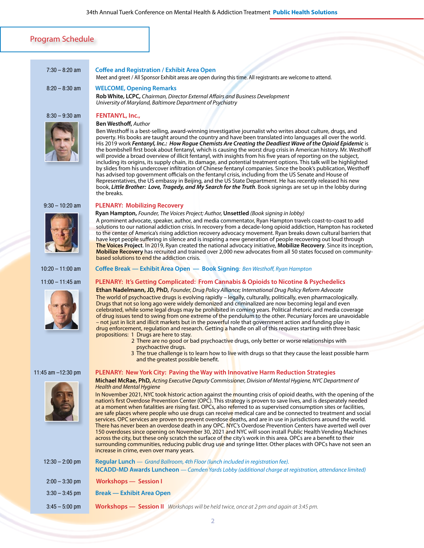### Program Schedule

#### 7:30 – 8:20 am **Coffee and Registration / Exhibit Area Open**

Meet and greet / All Sponsor Exhibit areas are open during this time. All registrants are welcome to attend.

#### 8:20 – 8:30 am **WELCOME, Opening Remarks**

**Rob White, LCPC,** *Chairman, Director External Affairs and Business Development University of Maryland, Baltimore Department of Psychiatry*

#### 8:30 – 9:30 am **FENTANYL, Inc.,**



#### **Ben Westhoff,** *Author*

Ben Westhoff is a best-selling, award-winning investigative journalist who writes about culture, drugs, and poverty. His books are taught around the country and have been translated into languages all over the world. His 2019 work *Fentanyl, Inc.: How Rogue Chemists Are Creating the Deadliest Wave of the Opioid Epidemic* is the bombshell first book about fentanyl, which is causing the worst drug crisis in American history. Mr. Westhoff will provide a broad overview of illicit fentanyl, with insights from his five years of reporting on the subject, including its origins, its supply chain, its damage, and potential treatment options. This talk will be highlighted by slides from his undercover infiltration of Chinese fentanyl companies. Since the book's publication, Westhoff has advised top government officials on the fentanyl crisis, including from the US Senate and House of Representatives, the US embassy in Beijing, and the US State Department. He has recently released his new book, *Little Brother: Love, Tragedy, and My Search for the Truth*. Book signings are set up in the lobby during the breaks.

#### 9:30 – 10:20 am **PLENARY: Mobilizing Recovery**





 **Ryan Hampton,** *Founder, The Voices Project; Author,* **Unsettled** *(Book signing in lobby)* A prominent advocate, speaker, author, and media commentator, Ryan Hampton travels coast-to-coast to add solutions to our national addiction crisis. In recovery from a decade-long opioid addiction, Hampton has rocketed to the center of America's rising addiction recovery advocacy movement. Ryan breaks down cultural barriers that have kept people suffering in silence and is inspiring a new generation of people recovering out loud through **The Voices Project**. In 2019, Ryan created the national advocacy initiative, **Mobilize Recovery**. Since its inception, **Mobilize Recovery** has recruited and trained over 2,000 new advocates from all 50 states focused on communitybased solutions to end the addiction crisis.

#### 10:20 – 11:00 am **Coffee Break — Exhibit Area Open — Book Signing***: Ben Westhoff, Ryan Hampton*

#### 11:00 – 11:45 am **PLENARY: It's Getting Complicated: From Cannabis & Opioids to Nicotine & Psychedelics**

**Ethan Nadelmann, JD, PhD,** *Founder, Drug Policy Alliance; International Drug Policy Reform Advocate*  The world of psychoactive drugs is evolving rapidly – legally, culturally, politically, even pharmacologically. Drugs that not so long ago were widely demonized and criminalized are now becoming legal and even celebrated, while some legal drugs may be prohibited in coming years. Political rhetoric and media coverage of drug issues tend to swing from one extreme of the pendulum to the other. Pecuniary forces are unavoidable – not just in licit and illicit markets but in the powerful role that government action and funding play in drug enforcement, regulation and research. Getting a handle on all of this requires starting with three basic propositions: 1 Drugs are here to stay.

- 2 There are no good or bad psychoactive drugs, only better or worse relationships with psychoactive drugs.
- 3 The true challenge is to learn how to live with drugs so that they cause the least possible harm and the greatest possible benefit.



#### 11:45 am –12:30 pm **PLENARY: New York City: Paving the Way with Innovative Harm Reduction Strategies**

**Michael McRae, PhD,** *Acting Executive Deputy Commissioner, Division of Mental Hygiene, NYC Department of Health and Mental Hygiene* 

In November 2021, NYC took historic action against the mounting crisis of opioid deaths, with the opening of the nation's first Overdose Prevention Center (OPC). This strategy is proven to save lives, and is desperately needed at a moment when fatalities are rising fast. OPCs, also referred to as supervised consumption sites or facilities, are safe places where people who use drugs can receive medical care and be connected to treatment and social services. OPC services are proven to prevent overdose deaths, and are in use in jurisdictions around the world. There has never been an overdose death in any OPC. NYC's Overdose Prevention Centers have averted well over 150 overdoses since opening on November 30, 2021 and NYC will soon install Public Health Vending Machines across the city, but these only scratch the surface of the city's work in this area. OPCs are a benefit to their surrounding communities, reducing public drug use and syringe litter. Other places with OPCs have not seen an increase in crime, even over many years.

| $12:30 - 2:00$ pm | <b>Requiar Lunch</b> — Grand Ballroom, 4th Floor (lunch included in registration fee).<br>NCADD-MD Awards Luncheon - Camden Yards Lobby (additional charge at registration, attendance limited) |
|-------------------|-------------------------------------------------------------------------------------------------------------------------------------------------------------------------------------------------|
| $2:00 - 3:30$ pm  | Workshops — Session I                                                                                                                                                                           |
| $3:30 - 3:45$ pm  | <b>Break — Exhibit Area Open</b>                                                                                                                                                                |
| $3:45 - 5:00$ pm  | <b>Workshops — Session II</b> Workshops will be held twice, once at 2 pm and again at 3:45 pm.                                                                                                  |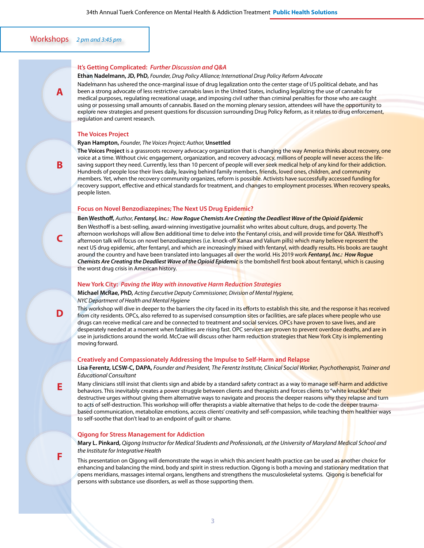# Workshops *2 pm and 3:45 pm*

**A**

**B**

**C**

#### **It's Getting Complicated:** *Further Discussion and Q&A*

#### **Ethan Nadelmann, JD, PhD,** *Founder, Drug Policy Alliance; International Drug Policy Reform Advocate*

 explore new strategies and present questions for discussion surrounding Drug Policy Reform, as it relates to drug enforcement, Nadelmann has ushered the once-marginal issue of drug legalization onto the center stage of US political debate, and has been a strong advocate of less restrictive cannabis laws in the United States, including legalizing the use of cannabis for medical purposes, regulating recreational usage, and imposing civil rather than criminal penalties for those who are caught using or possessing small amounts of cannabis. Based on the morning plenary session, attendees will have the opportunity to regulation and current research.

#### **The Voices Project**

#### **Ryan Hampton,** *Founder, The Voices Project; Author,* **Unsettled**

**The Voices Project** is a grassroots recovery advocacy organization that is changing the way America thinks about recovery, one voice at a time. Without civic engagement, organization, and recovery advocacy, millions of people will never access the lifesaving support they need. Currently, less than 10 percent of people will ever seek medical help of any kind for their addiction. Hundreds of people lose their lives daily, leaving behind family members, friends, loved ones, children, and community members. Yet, when the recovery community organizes, reform is possible. Activists have successfully accessed funding for recovery support, effective and ethical standards for treatment, and changes to employment processes. When recovery speaks, people listen.

#### **Focus on Novel Benzodiazepines; The Next US Drug Epidemic?**

#### **Ben Westhoff,** *Author, Fentanyl, Inc.: How Rogue Chemists Are Creating the Deadliest Wave of the Opioid Epidemic*

Ben Westhoff is a best-selling, award-winning investigative journalist who writes about culture, drugs, and poverty. The afternoon workshops will allow Ben additional time to delve into the Fentanyl crisis, and will provide time for Q&A. Westhoff's afternoon talk will focus on novel benzodiazepines (i.e. knock-off Xanax and Valium pills) which many believe represent the next US drug epidemic, after fentanyl, and which are increasingly mixed with fentanyl, with deadly results. His books are taught around the country and have been translated into languages all over the world. His 2019 work *Fentanyl, Inc.: How Rogue Chemists Are Creating the Deadliest Wave of the Opioid Epidemic* is the bombshell first book about fentanyl, which is causing the worst drug crisis in American history.

#### **New York City:** *Paving the Way with innovative Harm Reduction Strategies*

**Michael McRae, PhD,** *Acting Executive Deputy Commissioner, Division of Mental Hygiene, NYC Department of Health and Mental Hygiene*

This workshop will dive in deeper to the barriers the city faced in its efforts to establish this site, and the response it has received from city residents. OPCs, also referred to as supervised consumption sites or facilities, are safe places where people who use drugs can receive medical care and be connected to treatment and social services. OPCs have proven to save lives, and are desperately needed at a moment when fatalities are rising fast. OPC services are proven to prevent overdose deaths, and are in use in jurisdictions around the world. McCrae will discuss other harm reduction strategies that New York City is implementing moving forward.

#### **Creatively and Compassionately Addressing the Impulse to Self-Harm and Relapse**

**Lisa Ferentz, LCSW-C, DAPA,** *Founder and President, The Ferentz Institute, Clinical Social Worker, Psychotherapist, Trainer and Educational Consultant* 

Many clinicians still insist that clients sign and abide by a standard safety contract as a way to manage self-harm and addictive behaviors. This inevitably creates a power struggle between clients and therapists and forces clients to "white knuckle" their destructive urges without giving them alternative ways to navigate and process the deeper reasons why they relapse and turn to acts of self-destruction. This workshop will offer therapists a viable alternative that helps to de-code the deeper traumabased communication, metabolize emotions, access clients' creativity and self-compassion, while teaching them healthier ways to self-soothe that don't lead to an endpoint of guilt or shame.

#### **Qigong for Stress Management for Addiction**

**Mary L. Pinkard,** *Qigong Instructor for Medical Students and Professionals, at the University of Maryland Medical School and the Institute for Integrative Health*

This presentation on Qigong will demonstrate the ways in which this ancient health practice can be used as another choice for enhancing and balancing the mind, body and spirit in stress reduction. Qigong is both a moving and stationary meditation that opens meridians, massages internal organs, lengthens and strengthens the musculoskeletal systems. Qigong is beneficial for persons with substance use disorders, as well as those supporting them.

**D**

**E**

**F**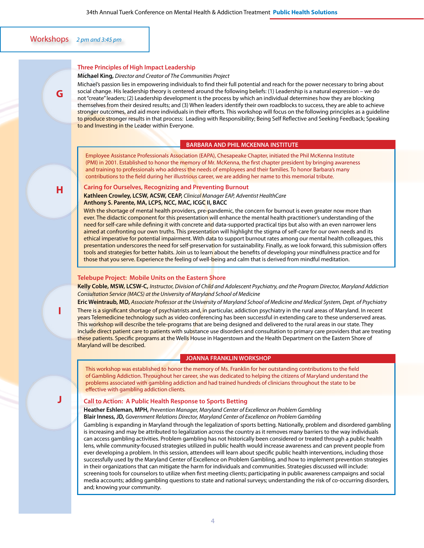Workshops *2 pm and 3:45 pm*

**G**

**H**

#### **Three Principles of High Impact Leadership**

**Michael King,** *Director and Creator of The Communities Project*

Michael's passion lies in empowering individuals to find their full potential and reach for the power necessary to bring about social change. His leadership theory is centered around the following beliefs: (1) Leadership is a natural expression – we do not "create" leaders; (2) Leadership development is the process by which an individual determines how they are blocking themselves from their desired results; and (3) When leaders identify their own roadblocks to success, they are able to achieve stronger outcomes, and aid more individuals in their efforts. This workshop will focus on the following principles as a guideline to produce stronger results in that process: Leading with Responsibility; Being Self Reflective and Seeking Feedback; Speaking to and Investing in the Leader within Everyone.

#### **BARBARA AND PHIL MCKENNA INSTITUTE**

Employee Assistance Professionals Association (EAPA), Chesapeake Chapter, initiated the Phil McKenna Institute (PMI) in 2001. Established to honor the memory of Mr. McKenna, the first chapter president by bringing awareness and training to professionals who address the needs of employees and their families. To honor Barbara's many contributions to the field during her illustrious career, we are adding her name to this memorial tribute.

#### **Caring for Ourselves, Recognizing and Preventing Burnout**

**Kathleen Crowley, LCSW, ACSW, CEAP,** *Clinical Manager EAP, Adventist HealthCare* **Anthony S. Parente, MA, LCPS, NCC, MAC, ICGC II, BACC** 

With the shortage of mental health providers, pre-pandemic, the concern for burnout is even greater now more than ever. The didactic component for this presentation will enhance the mental health practitioner's understanding of the need for self-care while defining it with concrete and data-supported practical tips but also with an even narrower lens aimed at confronting our own truths. This presentation will highlight the stigma of self-care for our own needs and its ethical imperative for potential impairment. With data to support burnout rates among our mental health colleagues, this presentation underscores the need for self-preservation for sustainability. Finally, as we look forward, this submission offers tools and strategies for better habits. Join us to learn about the benefits of developing your mindfulness practice and for those that you serve. Experience the feeling of well-being and calm that is derived from mindful meditation.

### **Telebupe Project: Mobile Units on the Eastern Shore**

**Kelly Coble, MSW, LCSW-C,** *Instructor, Division of Child and Adolescent Psychiatry, and the Program Director, Maryland Addiction Consultation Service (MACS) at the University of Maryland School of Medicine*

**Eric Weintraub, MD,** *Associate Professor at the University of Maryland School of Medicine and Medical System, Dept. of Psychiatry*

There is a significant shortage of psychiatrists and, in particular, addiction psychiatry in the rural areas of Maryland. In recent years Telemedicine technology such as video conferencing has been successful in extending care to these underserved areas. This workshop will describe the tele-programs that are being designed and delivered to the rural areas in our state. They include direct patient care to patients with substance use disorders and consultation to primary care providers that are treating these patients. Specific programs at the Wells House in Hagerstown and the Health Department on the Eastern Shore of Maryland will be described.

#### **JOANNA FRANKLIN WORKSHOP**

This workshop was established to honor the memory of Ms. Franklin for her outstanding contributions to the field of Gambling Addiction. Throughout her career, she was dedicated to helping the citizens of Maryland understand the problems associated with gambling addiction and had trained hundreds of clinicians throughout the state to be effective with gambling addiction clients.

#### **Call to Action: A Public Health Response to Sports Betting**

**Heather Eshleman, MPH,** *Prevention Manager, Maryland Center of Excellence on Problem Gambling* **Blair Inness, JD,** *Government Relations Director, Maryland Center of Excellence on Problem Gambling*

Gambling is expanding in Maryland through the legalization of sports betting. Nationally, problem and disordered gambling is increasing and may be attributed to legalization across the country as it removes many barriers to the way individuals can access gambling activities. Problem gambling has not historically been considered or treated through a public health lens, while community-focused strategies utilized in public health would increase awareness and can prevent people from ever developing a problem. In this session, attendees will learn about specific public health interventions, including those successfully used by the Maryland Center of Excellence on Problem Gambling, and how to implement prevention strategies in their organizations that can mitigate the harm for individuals and communities. Strategies discussed will include: screening tools for counselors to utilize when first meeting clients; participating in public awareness campaigns and social media accounts; adding gambling questions to state and national surveys; understanding the risk of co-occurring disorders, and; knowing your community.

**J**

**I**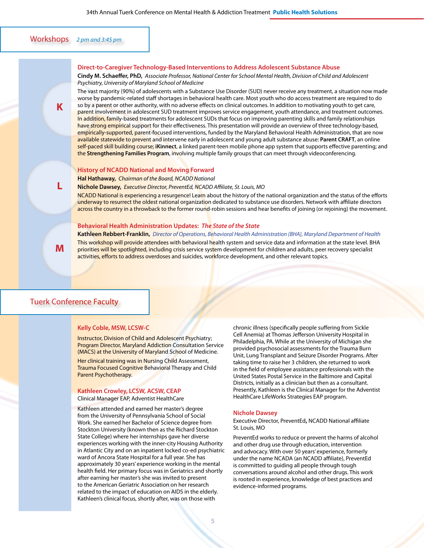# Workshops *2 pm and 3:45 pm*

**K**

**L**

**M**

#### **Direct-to-Caregiver Technology-Based Interventions to Address Adolescent Substance Abuse**

**Cindy M. Schaeffer, PhD,** *Associate Professor, National Center for School Mental Health, Division of Child and Adolescent Psychiatry, University of Maryland School of Medicine*

The vast majority (90%) of adolescents with a Substance Use Disorder (SUD) never receive any treatment, a situation now made worse by pandemic-related staff shortages in behavioral health care. Most youth who do access treatment are required to do so by a parent or other authority, with no adverse effects on clinical outcomes. In addition to motivating youth to get care, parent involvement in adolescent SUD treatment improves service engagement, youth attendance, and treatment outcomes. In addition, family-based treatments for adolescent SUDs that focus on improving parenting skills and family relationships have strong empirical support for their effectiveness. This presentation will provide an overview of three technology-based, empirically-supported, parent-focused interventions, funded by the Maryland Behavioral Health Administration, that are now available statewide to prevent and intervene early in adolescent and young adult substance abuse: **Parent CRAFT**, an online self-paced skill building course; **iKinnect**, a linked parent-teen mobile phone app system that supports effective parenting; and the **Strengthening Families Program**, involving multiple family groups that can meet through videoconferencing.

#### **History of NCADD National and Moving Forward**

**Hal Hathaway,** *Chairman of the Board, NCADD National*

#### **Nichole Dawsey,** *Executive Director, PreventEd, NCADD Affiliate, St. Louis, MO*

NCADD National is experiencing a resurgence! Learn about the history of the national organization and the status of the efforts underway to resurrect the oldest national organization dedicated to substance use disorders. Network with affiliate directors across the country in a throwback to the former round-robin sessions and hear benefits of joining (or rejoining) the movement.

#### **Behavioral Health Administration Updates:** *The State of the State*

**Kathleen Rebbert-Franklin,** *Director of Operations, Behavioral Health Administration {BHA}, Maryland Department of Health* This workshop will provide attendees with behavioral health system and service data and information at the state level. BHA priorities will be spotlighted, including crisis service system development for children and adults, peer recovery specialist activities, efforts to address overdoses and suicides, workforce development, and other relevant topics.

### Tuerk Conference Faculty

#### **Kelly Coble, MSW, LCSW-C**

Instructor, Division of Child and Adolescent Psychiatry; Program Director, Maryland Addiction Consultation Service (MACS) at the University of Maryland School of Medicine.

Her clinical training was in Nursing Child Assessment, Trauma Focused Cognitive Behavioral Therapy and Child Parent Psychotherapy.

#### **Kathleen Crowley, LCSW, ACSW, CEAP**

Clinical Manager EAP, Adventist HealthCare

Kathleen attended and earned her master's degree from the University of Pennsylvania School of Social Work. She earned her Bachelor of Science degree from Stockton University (known then as the Richard Stockton State College) where her internships gave her diverse experiences working with the inner-city Housing Authority in Atlantic City and on an inpatient locked co-ed psychiatric ward of Ancora State Hospital for a full year. She has approximately 30 years' experience working in the mental health field. Her primary focus was in Geriatrics and shortly after earning her master's she was invited to present to the American Geriatric Association on her research related to the impact of education on AIDS in the elderly. Kathleen's clinical focus, shortly after, was on those with

chronic illness (specifically people suffering from Sickle Cell Anemia) at Thomas Jefferson University Hospital in Philadelphia, PA. While at the University of Michigan she provided psychosocial assessments for the Trauma Burn Unit, Lung Transplant and Seizure Disorder Programs. After taking time to raise her 3 children, she returned to work in the field of employee assistance professionals with the United States Postal Service in the Baltimore and Capital Districts, initially as a clinician but then as a consultant. Presently, Kathleen is the Clinical Manager for the Adventist HealthCare LifeWorks Strategies EAP program.

#### **Nichole Dawsey**

Executive Director, PreventEd**,** NCADD National affiliate St. Louis, MO

PreventEd works to reduce or prevent the harms of alcohol and other drug use through education, intervention and advocacy. With over 50 years' experience, formerly under the name NCADA (an NCADD affiliate), PreventEd is committed to guiding all people through tough conversations around alcohol and other drugs. This work is rooted in experience, knowledge of best practices and evidence-informed programs.

**5**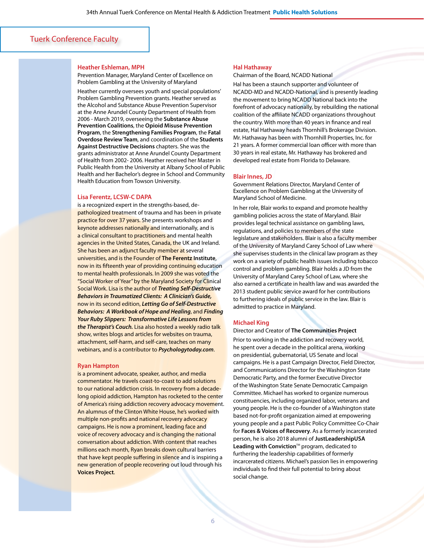## Tuerk Conference Faculty

#### **Heather Eshleman, MPH**

Prevention Manager, Maryland Center of Excellence on Problem Gambling at the University of Maryland

Heather currently oversees youth and special populations' Problem Gambling Prevention grants. Heather served as the Alcohol and Substance Abuse Prevention Supervisor at the Anne Arundel County Department of Health from 2006 - March 2019, overseeing the **Substance Abuse Prevention Coalitions**, the **Opioid Misuse Prevention Program**, the **Strengthening Families Program**, the **Fatal Overdose Review Team**, and coordination of the **Students Against Destructive Decisions** chapters. She was the grants administrator at Anne Arundel County Department of Health from 2002- 2006. Heather received her Master in Public Health from the University at Albany School of Public Health and her Bachelor's degree in School and Community Health Education from Towson University.

#### **Lisa Ferentz, LCSW-C DAPA**

is a recognized expert in the strengths-based, depathologized treatment of trauma and has been in private practice for over 37 years. She presents workshops and keynote addresses nationally and internationally, and is a clinical consultant to practitioners and mental health agencies in the United States, Canada, the UK and Ireland. She has been an adjunct faculty member at several universities, and is the Founder of **The Ferentz Institute**, now in its fifteenth year of providing continuing education to mental health professionals. In 2009 she was voted the "Social Worker of Year" by the Maryland Society for Clinical Social Work. Lisa is the author of *Treating Self-Destructive Behaviors in Traumatized Clients: A Clinician's Guide,* now in its second edition, *Letting Go of Self-Destructive Behaviors: A Workbook of Hope and Healing*, and *Finding Your Ruby Slippers: Transformative Life Lessons from the Therapist's Couch.* Lisa also hosted a weekly radio talk show, writes blogs and articles for websites on trauma, attachment, self-harm, and self-care, teaches on many webinars, and is a contributor to *Psychologytoday.com*.

#### **Ryan Hampton**

is a prominent advocate, speaker, author, and media commentator. He travels coast-to-coast to add solutions to our national addiction crisis. In recovery from a decadelong opioid addiction, Hampton has rocketed to the center of America's rising addiction recovery advocacy movement. An alumnus of the Clinton White House, he's worked with multiple non-profits and national recovery advocacy campaigns. He is now a prominent, leading face and voice of recovery advocacy and is changing the national conversation about addiction. With content that reaches millions each month, Ryan breaks down cultural barriers that have kept people suffering in silence and is inspiring a new generation of people recovering out loud through his **Voices Project**.

#### **Hal Hathaway**

Chairman of the Board, NCADD National

Hal has been a staunch supporter and volunteer of NCADD-MD and NCADD-National, and is presently leading the movement to bring NCADD National back into the forefront of advocacy nationally, by rebuilding the national coalition of the affiliate NCADD organizations throughout the country. With more than 40 years in finance and real estate, Hal Hathaway heads Thornhill's Brokerage Division. Mr. Hathaway has been with Thornhill Properties, Inc. for 21 years. A former commercial loan officer with more than 30 years in real estate, Mr. Hathaway has brokered and developed real estate from Florida to Delaware.

#### **Blair Innes, JD**

Government Relations Director, Maryland Center of Excellence on Problem Gambling at the University of Maryland School of Medicine.

 of the University of Maryland Carey School of Law where In her role, Blair works to expand and promote healthy gambling policies across the state of Maryland. Blair provides legal technical assistance on gambling laws, regulations, and policies to members of the state legislature and stakeholders. Blair is also a faculty member she supervises students in the clinical law program as they work on a variety of public health issues including tobacco control and problem gambling. Blair holds a JD from the University of Maryland Carey School of Law, where she also earned a certificate in health law and was awarded the 2013 student public service award for her contributions to furthering ideals of public service in the law. Blair is admitted to practice in Maryland.

#### **Michael King**

Director and Creator of **The Communities Project**

Prior to working in the addiction and recovery world, he spent over a decade in the political arena, working on presidential, gubernatorial, US Senate and local campaigns. He is a past Campaign Director, Field Director, and Communications Director for the Washington State Democratic Party, and the former Executive Director of the Washington State Senate Democratic Campaign Committee. Michael has worked to organize numerous constituencies, including organized labor, veterans and young people. He is the co-founder of a Washington state based not-for-profit organization aimed at empowering young people and a past Public Policy Committee Co-Chair for **Faces & Voices of Recovery**. As a formerly incarcerated person, he is also 2018 alumni of **JustLeadershipUSA** Leading with Conviction<sup>™</sup> program, dedicated to furthering the leadership capabilities of formerly incarcerated citizens. Michael's passion lies in empowering individuals to find their full potential to bring about social change.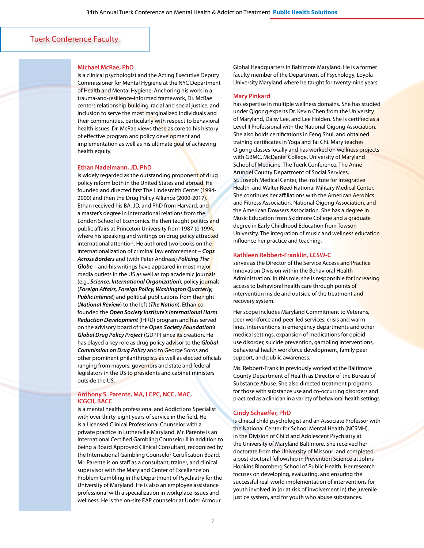# Tuerk Conference Faculty

#### **Michael McRae, PhD**

is a clinical psychologist and the Acting Executive Deputy Commissioner for Mental Hygiene at the NYC Department of Health and Mental Hygiene. Anchoring his work in a trauma-and-resilience-informed framework, Dr. McRae centers relationship building, racial and social justice, and inclusion to serve the most marginalized individuals and their communities, particularly with respect to behavioral health issues. Dr. McRae views these as core to his history of effective program and policy development and implementation as well as his ultimate goal of achieving health equity.

#### **Ethan Nadelmann, JD, PhD**

is widely regarded as the outstanding proponent of drug policy reform both in the United States and abroad. He founded and directed first The Lindesmith Center (1994-2000) and then the Drug Policy Alliance (2000-2017). Ethan received his BA, JD, and PhD from Harvard, and a master's degree in international relations from the London School of Economics. He then taught politics and public affairs at Princeton University from 1987 to 1994, where his speaking and writings on drug policy attracted international attention. He authored two books on the internationalization of criminal law enforcement – *Cops Across Borders* and (with Peter Andreas) *Policing The Globe* – and his writings have appeared in most major media outlets in the US as well as top academic journals (e.g., *Science, International Organization*), policy journals (*Foreign Affairs, Foreign Policy, Washington Quarterly, Public Interest*) and political publications from the right (*National Review*) to the left (*The Nation*). Ethan cofounded the *Open Society Institute's International Harm Reduction Development* (IHRD) program and has served on the advisory board of the *Open Society Foundation's Global Drug Policy Project* (GDPP) since its creation. He has played a key role as drug policy advisor to the *Global Commission on Drug Policy* and to George Soros and other prominent philanthropists as well as elected officials ranging from mayors, governors and state and federal legislators in the US to presidents and cabinet ministers outside the US.

#### **Anthony S. Parente, MA, LCPC, NCC, MAC, ICGCII, BACC**

is a mental health professional and Addictions Specialist with over thirty-eight years of service in the field. He is a Licensed Clinical Professional Counselor with a private practice in Lutherville Maryland. Mr. Parente is an International Certified Gambling Counselor II in addition to being a Board Approved Clinical Consultant, recognized by the International Gambling Counselor Certification Board. Mr. Parente is on staff as a consultant, trainer, and clinical supervisor with the Maryland Center of Excellence on Problem Gambling in the Department of Psychiatry for the University of Maryland. He is also an employee assistance professional with a specialization in workplace issues and wellness. He is the on-site EAP counselor at Under Armour

Global Headquarters in Baltimore Maryland. He is a former faculty member of the Department of Psychology, Loyola University Maryland where he taught for twenty-nine years.

#### **Mary Pinkard**

School of Medicine, The Tuerk Conference, The Anne has expertise in multiple wellness domains. She has studied under Qigong experts Dr. Kevin Chen from the University of Maryland, Daisy Lee, and Lee Holden. She Is certified as a Level II Professional with the National Qigong Association. She also holds certifications in Feng Shui, and obtained training certificates in Yoga and Tai Chi. Mary teaches Qigong classes locally and has worked on wellness projects with GBMC, McDaniel College, University of Maryland Arundel County Department of Social Services, St. Joseph Medical Center, the Institute for Integrative Health, and Walter Reed National Military Medical Center. She continues her affiliations with the American Aerobics and Fitness Association, National Qigong Association, and the American Dowsers Association. She has a degree in Music Education from Skidmore College and a graduate degree in Early Childhood Education from Towson University. The integration of music and wellness education influence her practice and teaching.

#### **Kathleen Rebbert-Franklin, LCSW-C**

serves as the Director of the Service Access and Practice Innovation Division within the Behavioral Health Administration. In this role, she is responsible for increasing access to behavioral health care through points of intervention inside and outside of the treatment and recovery system.

Her scope includes Maryland Commitment to Veterans, peer workforce and peer-led services, crisis and warm lines, interventions in emergency departments and other medical settings, expansion of medications for opioid use disorder, suicide prevention, gambling interventions, behavioral health workforce development, family peer support, and public awareness.

Ms. Rebbert-Franklin previously worked at the Baltimore County Department of Health as Director of the Bureau of Substance Abuse. She also directed treatment programs for those with substance use and co-occurring disorders and practiced as a clinician in a variety of behavioral health settings.

#### **Cindy Schaeffer, PhD**

is clinical child psychologist and an Associate Professor with the National Center for School Mental Health (NCSMH), in the Division of Child and Adolescent Psychiatry at the University of Maryland Baltimore. She received her doctorate from the University of Missouri and completed a post-doctoral fellowship in Prevention Science at Johns Hopkins Bloomberg School of Public Health. Her research focuses on developing, evaluating, and ensuring the successful real-world implementation of interventions for youth involved in (or at risk of involvement in) the juvenile justice system, and for youth who abuse substances.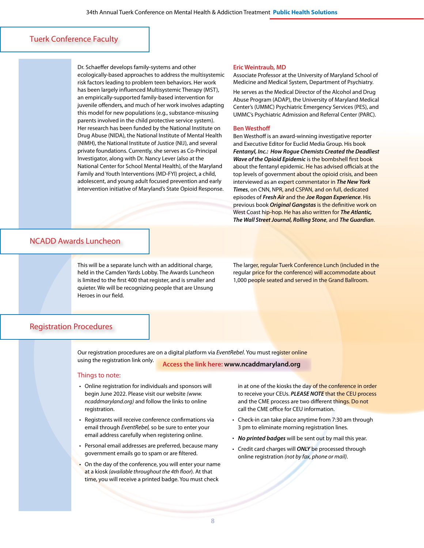# Tuerk Conference Faculty

Dr. Schaeffer develops family-systems and other ecologically-based approaches to address the multisystemic risk factors leading to problem teen behaviors. Her work has been largely influenced Multisystemic Therapy (MST), an empirically-supported family-based intervention for juvenile offenders, and much of her work involves adapting this model for new populations (e.g., substance-misusing parents involved in the child protective service system). Her research has been funded by the National Institute on Drug Abuse (NIDA), the National Institute of Mental Health (NIMH), the National Institute of Justice (NIJ), and several private foundations. Currently, she serves as Co-Principal Investigator, along with Dr. Nancy Lever (also at the National Center for School Mental Health), of the Maryland Family and Youth Interventions (MD-FYI) project, a child, adolescent, and young adult focused prevention and early intervention initiative of Maryland's State Opioid Response.

#### **Eric Weintraub, MD**

Associate Professor at the University of Maryland School of Medicine and Medical System, Department of Psychiatry.

He serves as the Medical Director of the Alcohol and Drug Abuse Program (ADAP), the University of Maryland Medical Center's (UMMC) Psychiatric Emergency Services (PES), and UMMC's Psychiatric Admission and Referral Center (PARC).

#### **Ben Westhoff**

Ben Westhoff is an award-winning investigative reporter and Executive Editor for Euclid Media Group. His book *Fentanyl, Inc.: How Rogue Chemists Created the Deadliest Wave of the Opioid Epidemic* is the bombshell first book about the fentanyl epidemic. He has advised officials at the top levels of government about the opioid crisis, and been interviewed as an expert commentator in *The New York Times*, on CNN, NPR, and CSPAN, and on full, dedicated episodes of *Fresh Air* and the *Joe Rogan Experience*. His previous book *Original Gangstas* is the definitive work on West Coast hip-hop. He has also written for *The Atlantic, The Wall Street Journal, Rolling Stone*, and *The Guardian*.

# NCADD Awards Luncheon

This will be a separate lunch with an additional charge, held in the Camden Yards Lobby. The Awards Luncheon is limited to the first 400 that register, and is smaller and quieter. We will be recognizing people that are Unsung Heroes in our field.

The larger, regular Tuerk Conference Lunch (included in the regular price for the conference) will accommodate about 1,000 people seated and served in the Grand Ballroom.

# Registration Procedures

Our registration procedures are on a digital platform via *EventRebel*. You must register online using the registration link only. **Access the link here: [www.ncaddmaryland.org](http://www.ncaddmaryland.org)**

#### Things to note:

- • Online registration for individuals and sponsors will begin June 2022. Please visit our website *[\(www.](http://www.ncaddmaryland.org) [ncaddmaryland.org](http://www.ncaddmaryland.org))* and follow the links to online registration.
- Registrants will receive conference confirmations via email through *EventRebel,* so be sure to enter your email address carefully when registering online.
- Personal email addresses are preferred, because many government emails go to spam or are filtered.
- On the day of the conference, you will enter your name at a kiosk *(available throughout the 4th floor*). At that time, you will receive a printed badge. You must check

in at one of the kiosks the day of the conference in order to receive your CEUs. *PLEASE NOTE* that the CEU process and the CME process are two different things. Do not call the CME office for CEU information.

- Check-in can take place anytime from 7:30 am through 3 pm to eliminate morning registration lines.
- • *No printed badges* will be sent out by mail this year.
- • Credit card charges will *ONLY* be processed through online registration *(not by fax, phone or mail)*.